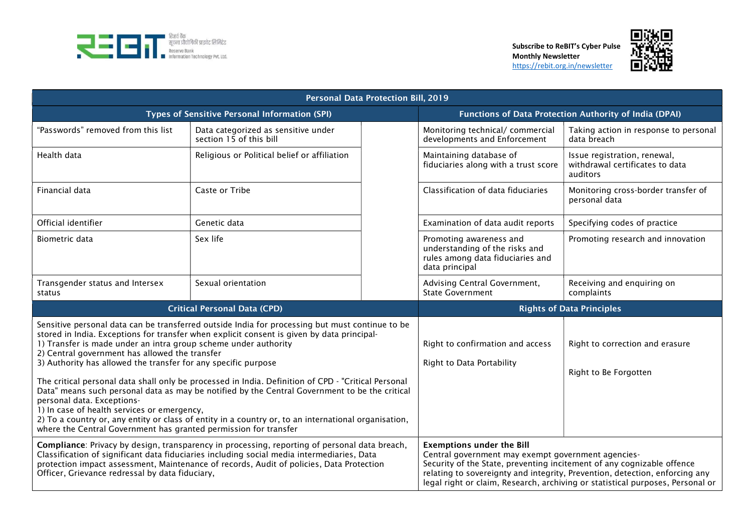



| <b>Personal Data Protection Bill, 2019</b>                                                                                                                                                                                                                                                                                                                                                                                                                                                                                                                                                                                                                                                                                                                                                                                                             |                                                                |                                                               |                                                                                                                                                                                                                                                                                                                                   |                                                                             |  |
|--------------------------------------------------------------------------------------------------------------------------------------------------------------------------------------------------------------------------------------------------------------------------------------------------------------------------------------------------------------------------------------------------------------------------------------------------------------------------------------------------------------------------------------------------------------------------------------------------------------------------------------------------------------------------------------------------------------------------------------------------------------------------------------------------------------------------------------------------------|----------------------------------------------------------------|---------------------------------------------------------------|-----------------------------------------------------------------------------------------------------------------------------------------------------------------------------------------------------------------------------------------------------------------------------------------------------------------------------------|-----------------------------------------------------------------------------|--|
| Types of Sensitive Personal Information (SPI)                                                                                                                                                                                                                                                                                                                                                                                                                                                                                                                                                                                                                                                                                                                                                                                                          |                                                                | Functions of Data Protection Authority of India (DPAI)        |                                                                                                                                                                                                                                                                                                                                   |                                                                             |  |
| "Passwords" removed from this list                                                                                                                                                                                                                                                                                                                                                                                                                                                                                                                                                                                                                                                                                                                                                                                                                     | Data categorized as sensitive under<br>section 15 of this bill |                                                               | Monitoring technical/ commercial<br>developments and Enforcement                                                                                                                                                                                                                                                                  | Taking action in response to personal<br>data breach                        |  |
| Health data                                                                                                                                                                                                                                                                                                                                                                                                                                                                                                                                                                                                                                                                                                                                                                                                                                            | Religious or Political belief or affiliation                   |                                                               | Maintaining database of<br>fiduciaries along with a trust score                                                                                                                                                                                                                                                                   | Issue registration, renewal,<br>withdrawal certificates to data<br>auditors |  |
| Financial data                                                                                                                                                                                                                                                                                                                                                                                                                                                                                                                                                                                                                                                                                                                                                                                                                                         | Caste or Tribe                                                 |                                                               | Classification of data fiduciaries                                                                                                                                                                                                                                                                                                | Monitoring cross-border transfer of<br>personal data                        |  |
| Official identifier                                                                                                                                                                                                                                                                                                                                                                                                                                                                                                                                                                                                                                                                                                                                                                                                                                    | Genetic data                                                   |                                                               | Examination of data audit reports                                                                                                                                                                                                                                                                                                 | Specifying codes of practice                                                |  |
| <b>Biometric data</b>                                                                                                                                                                                                                                                                                                                                                                                                                                                                                                                                                                                                                                                                                                                                                                                                                                  | Sex life                                                       |                                                               | Promoting awareness and<br>understanding of the risks and<br>rules among data fiduciaries and<br>data principal                                                                                                                                                                                                                   | Promoting research and innovation                                           |  |
| Transgender status and Intersex<br>status                                                                                                                                                                                                                                                                                                                                                                                                                                                                                                                                                                                                                                                                                                                                                                                                              | Sexual orientation                                             |                                                               | Advising Central Government,<br><b>State Government</b>                                                                                                                                                                                                                                                                           | Receiving and enquiring on<br>complaints                                    |  |
| <b>Critical Personal Data (CPD)</b>                                                                                                                                                                                                                                                                                                                                                                                                                                                                                                                                                                                                                                                                                                                                                                                                                    |                                                                |                                                               | <b>Rights of Data Principles</b>                                                                                                                                                                                                                                                                                                  |                                                                             |  |
| Sensitive personal data can be transferred outside India for processing but must continue to be<br>stored in India. Exceptions for transfer when explicit consent is given by data principal-<br>1) Transfer is made under an intra group scheme under authority<br>2) Central government has allowed the transfer<br>3) Authority has allowed the transfer for any specific purpose<br>The critical personal data shall only be processed in India. Definition of CPD - "Critical Personal<br>Data" means such personal data as may be notified by the Central Government to be the critical<br>personal data. Exceptions-<br>1) In case of health services or emergency,<br>2) To a country or, any entity or class of entity in a country or, to an international organisation,<br>where the Central Government has granted permission for transfer |                                                                | Right to confirmation and access<br>Right to Data Portability | Right to correction and erasure<br>Right to Be Forgotten                                                                                                                                                                                                                                                                          |                                                                             |  |
| Compliance: Privacy by design, transparency in processing, reporting of personal data breach,<br>Classification of significant data fiduciaries including social media intermediaries, Data<br>protection impact assessment, Maintenance of records, Audit of policies, Data Protection<br>Officer, Grievance redressal by data fiduciary,                                                                                                                                                                                                                                                                                                                                                                                                                                                                                                             |                                                                |                                                               | <b>Exemptions under the Bill</b><br>Central government may exempt government agencies-<br>Security of the State, preventing incitement of any cognizable offence<br>relating to sovereignty and integrity, Prevention, detection, enforcing any<br>legal right or claim, Research, archiving or statistical purposes, Personal or |                                                                             |  |